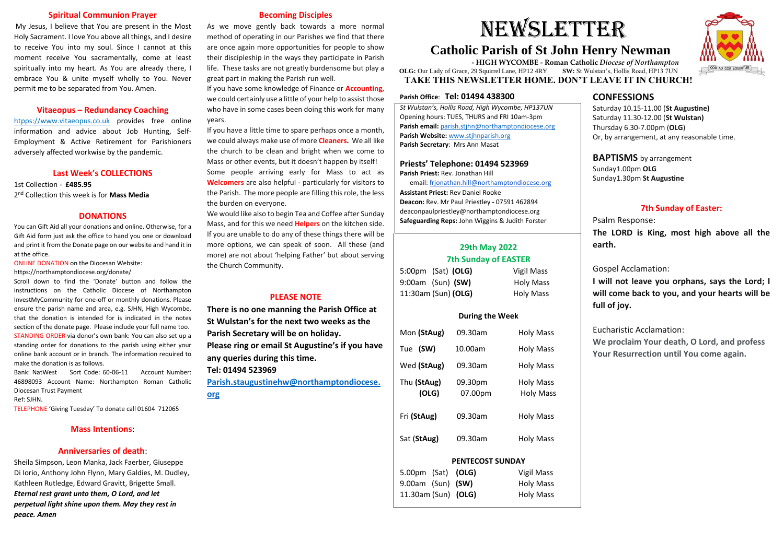#### **Spiritual Communion Prayer**

My Jesus, I believe that You are present in the Most Holy Sacrament. I love You above all things, and I desire to receive You into my soul. Since I cannot at this moment receive You sacramentally, come at least spiritually into my heart. As You are already there, I embrace You & unite myself wholly to You. Never permit me to be separated from You. Amen.

#### **Vitaeopus – Redundancy Coaching**

htpps://www.vitaeopus.co.uk provides free online information and advice about Job Hunting, Self-Employment & Active Retirement for Parishioners adversely affected workwise by the pandemic.

#### **Last Week's COLLECTIONS**

1st Collection - **£485.95** 2 nd Collection this week is for **Mass Media**

#### **DONATIONS**

You can Gift Aid all your donations and online. Otherwise, for a Gift Aid form just ask the office to hand you one or download and print it from the Donate page on our website and hand it in at the office.

Bank: NatWest Sort Code: 60-06-11 Account Number: 46898093 Account Name: Northampton Roman Catholic Diocesan Trust Payment

ONLINE DONATION on the Diocesan Website:

https://northamptondiocese.org/donate/

Scroll down to find the 'Donate' button and follow the instructions on the Catholic Diocese of Northampton InvestMyCommunity for one-off or monthly donations. Please ensure the parish name and area, e.g. SJHN, High Wycombe, that the donation is intended for is indicated in the notes section of the donate page. Please include your full name too. STANDING ORDER via donor's own bank: You can also set up a standing order for donations to the parish using either your online bank account or in branch. The information required to make the donation is as follows.

Ref: SJHN.

TELEPHONE 'Giving Tuesday' To donate call 01604 712065

#### **Mass Intentions**:

#### **Anniversaries of death**:

Sheila Simpson, Leon Manka, Jack Faerber, Giuseppe Di Iorio, Anthony John Flynn, Mary Galdies, M. Dudley, Kathleen Rutledge, Edward Gravitt, Brigette Small. *Eternal rest grant unto them, O Lord, and let perpetual light shine upon them. May they rest in peace. Amen*

#### **Becoming Disciples**

As we move gently back towards a more normal method of operating in our Parishes we find that there are once again more opportunities for people to show their discipleship in the ways they participate in Parish life. These tasks are not greatly burdensome but play a great part in making the Parish run well.

If you have some knowledge of Finance or **Accounting,** we could certainly use a little of your help to assist those who have in some cases been doing this work for many years.

If you have a little time to spare perhaps once a month, we could always make use of more **Cleaners.** We all like the church to be clean and bright when we come to Mass or other events, but it doesn't happen by itself! Some people arriving early for Mass to act as **Welcomers** are also helpful - particularly for visitors to the Parish. The more people are filling this role, the less the burden on everyone.

We would like also to begin Tea and Coffee after Sunday Mass, and for this we need **Helpers** on the kitchen side. If you are unable to do any of these things there will be more options, we can speak of soon. All these (and more) are not about 'helping Father' but about serving the Church Community.

#### **PLEASE NOTE**

**There is no one manning the Parish Office at St Wulstan's for the next two weeks as the Parish Secretary will be on holiday. Please ring or email St Augustine's if you have any queries during this time. Tel: 01494 523969**

**[Parish.staugustinehw@northamptondiocese.](mailto:Parish.staugustinehw@northamptondiocese.org) [org](mailto:Parish.staugustinehw@northamptondiocese.org)**

#### **Parish Office**: **Tel: 01494 438300**

*St Wulstan's, Hollis Road, High Wycombe, HP137UN*  Opening hours: TUES, THURS and FRI 10am-3pm **Parish email:** [parish.stjhn@northamptondiocese.org](mailto:parish.stjhn@northamptondiocese.org) **Parish Website:** [www.stjhnparish.org](http://www.stjhnparish.org/) **Parish Secretary**: Mrs Ann Masat

#### **Priests' Telephone: 01494 523969**

**Parish Priest:** Rev. Jonathan Hill

email: [frjonathan.hill@northamptondiocese.org](mailto:frjonathan.hill@northamptondiocese.org)

**Assistant Priest:** Rev Daniel Rooke **Deacon:** Rev. Mr Paul Priestley **-** 07591 462894 deaconpaulpriestley@northamptondiocese.org **Safeguarding Reps:** John Wiggins & Judith Forster

# **29th May 2022 7th Sunday of EASTER**

| 5:00pm (Sat) (OLG)  | Vigil Mass       |
|---------------------|------------------|
| 9:00am (Sun) (SW)   | <b>Holy Mass</b> |
| 11:30am (Sun) (OLG) | <b>Holy Mass</b> |

#### **During the Week**

| Mon (StAug)          | 09.30am            | <b>Holy Mass</b>              |  |
|----------------------|--------------------|-------------------------------|--|
| Tue (SW)             | 10.00am            | <b>Holy Mass</b>              |  |
| Wed (StAug)          | 09.30am            | <b>Holy Mass</b>              |  |
| Thu (StAug)<br>(OLG) | 09.30pm<br>07.00pm | Holy Mass<br><b>Holy Mass</b> |  |
| Fri (StAug)          | 09.30am            | <b>Holy Mass</b>              |  |
| Sat (StAug)          | 09.30am            | <b>Holy Mass</b>              |  |

#### **PENTECOST SUNDAY**

| 5.00pm (Sat) (OLG)  | <b>Vigil Mass</b> |
|---------------------|-------------------|
| $9.00am$ (Sun) (SW) | <b>Holy Mass</b>  |
| 11.30am (Sun) (OLG) | <b>Holy Mass</b>  |



# **CONFESSIONS**

Saturday 10.15-11.00 (**St Augustine)** Saturday 11.30-12.00 (**St Wulstan)** Thursday 6.30-7.00pm (**OLG**) Or, by arrangement, at any reasonable time.

**BAPTISMS** by arrangement Sunday1.00pm **OLG** Sunday1.30pm **St Augustine**

# **7th Sunday of Easter:**

Psalm Response: **The LORD is King, most high above all the earth.**

Gospel Acclamation:

**I will not leave you orphans, says the Lord; I will come back to you, and your hearts will be full of joy.**

Eucharistic Acclamation:

**We proclaim Your death, O Lord, and profess Your Resurrection until You come again.**

# NEWSLETTER

# **Catholic Parish of St John Henry Newman**

 **- HIGH WYCOMBE - Roman Catholic** *Diocese of Northampton*  **OLG:** Our Lady of Grace, 29 Squirrel Lane, HP12 4RY **SW:** St Wulstan's, Hollis Road, HP13 7UN  **TAKE THIS NEWSLETTER HOME. DON'T LEAVE IT IN CHURCH!**